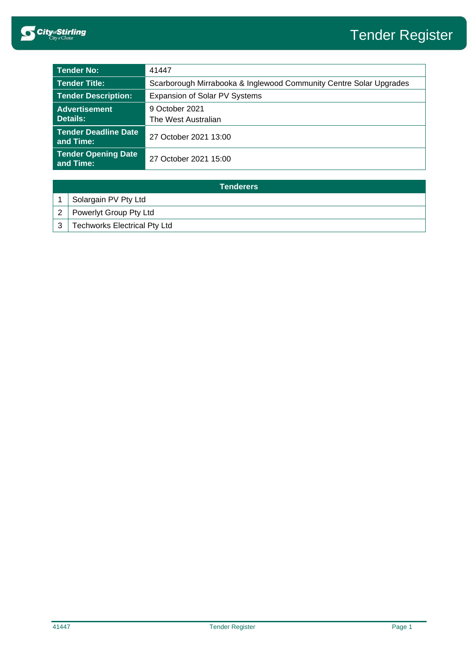| <b>Tender No:</b>                       | 41447                                                              |  |
|-----------------------------------------|--------------------------------------------------------------------|--|
| <b>Tender Title:</b>                    | Scarborough Mirrabooka & Inglewood Community Centre Solar Upgrades |  |
| <b>Tender Description:</b>              | <b>Expansion of Solar PV Systems</b>                               |  |
| <b>Advertisement</b><br>Details:        | 9 October 2021<br>The West Australian                              |  |
| Tender Deadline Date<br>and Time:       | 27 October 2021 13:00                                              |  |
| <b>Tender Opening Date</b><br>and Time: | 27 October 2021 15:00                                              |  |

| <b>Tenderers</b> |                                     |  |
|------------------|-------------------------------------|--|
|                  | Solargain PV Pty Ltd                |  |
|                  | Powerlyt Group Pty Ltd              |  |
| 3                | <b>Techworks Electrical Pty Ltd</b> |  |